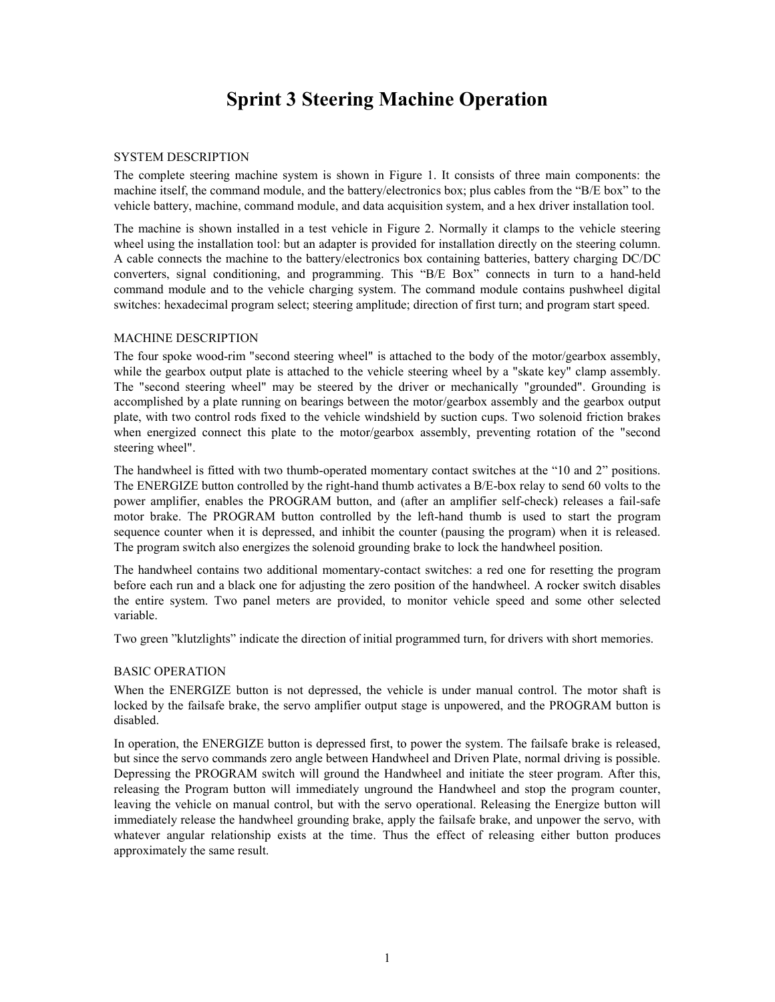# **Sprint 3 Steering Machine Operation**

#### SYSTEM DESCRIPTION

The complete steering machine system is shown in Figure 1. It consists of three main components: the machine itself, the command module, and the battery/electronics box; plus cables from the "B/E box" to the vehicle battery, machine, command module, and data acquisition system, and a hex driver installation tool.

The machine is shown installed in a test vehicle in Figure 2. Normally it clamps to the vehicle steering wheel using the installation tool: but an adapter is provided for installation directly on the steering column. A cable connects the machine to the battery/electronics box containing batteries, battery charging DC/DC converters, signal conditioning, and programming. This "B/E Box" connects in turn to a hand-held command module and to the vehicle charging system. The command module contains pushwheel digital switches: hexadecimal program select; steering amplitude; direction of first turn; and program start speed.

#### MACHINE DESCRIPTION

The four spoke wood-rim "second steering wheel" is attached to the body of the motor/gearbox assembly, while the gearbox output plate is attached to the vehicle steering wheel by a "skate key" clamp assembly. The "second steering wheel" may be steered by the driver or mechanically "grounded". Grounding is accomplished by a plate running on bearings between the motor/gearbox assembly and the gearbox output plate, with two control rods fixed to the vehicle windshield by suction cups. Two solenoid friction brakes when energized connect this plate to the motor/gearbox assembly, preventing rotation of the "second steering wheel".

The handwheel is fitted with two thumb-operated momentary contact switches at the "10 and 2" positions. The ENERGIZE button controlled by the right-hand thumb activates a B/E-box relay to send 60 volts to the power amplifier, enables the PROGRAM button, and (after an amplifier self-check) releases a fail-safe motor brake. The PROGRAM button controlled by the left-hand thumb is used to start the program sequence counter when it is depressed, and inhibit the counter (pausing the program) when it is released. The program switch also energizes the solenoid grounding brake to lock the handwheel position.

The handwheel contains two additional momentary-contact switches: a red one for resetting the program before each run and a black one for adjusting the zero position of the handwheel. A rocker switch disables the entire system. Two panel meters are provided, to monitor vehicle speed and some other selected variable.

Two green "klutzlights" indicate the direction of initial programmed turn, for drivers with short memories.

# BASIC OPERATION

When the ENERGIZE button is not depressed, the vehicle is under manual control. The motor shaft is locked by the failsafe brake, the servo amplifier output stage is unpowered, and the PROGRAM button is disabled.

In operation, the ENERGIZE button is depressed first, to power the system. The failsafe brake is released, but since the servo commands zero angle between Handwheel and Driven Plate, normal driving is possible. Depressing the PROGRAM switch will ground the Handwheel and initiate the steer program. After this, releasing the Program button will immediately unground the Handwheel and stop the program counter, leaving the vehicle on manual control, but with the servo operational. Releasing the Energize button will immediately release the handwheel grounding brake, apply the failsafe brake, and unpower the servo, with whatever angular relationship exists at the time. Thus the effect of releasing either button produces approximately the same result.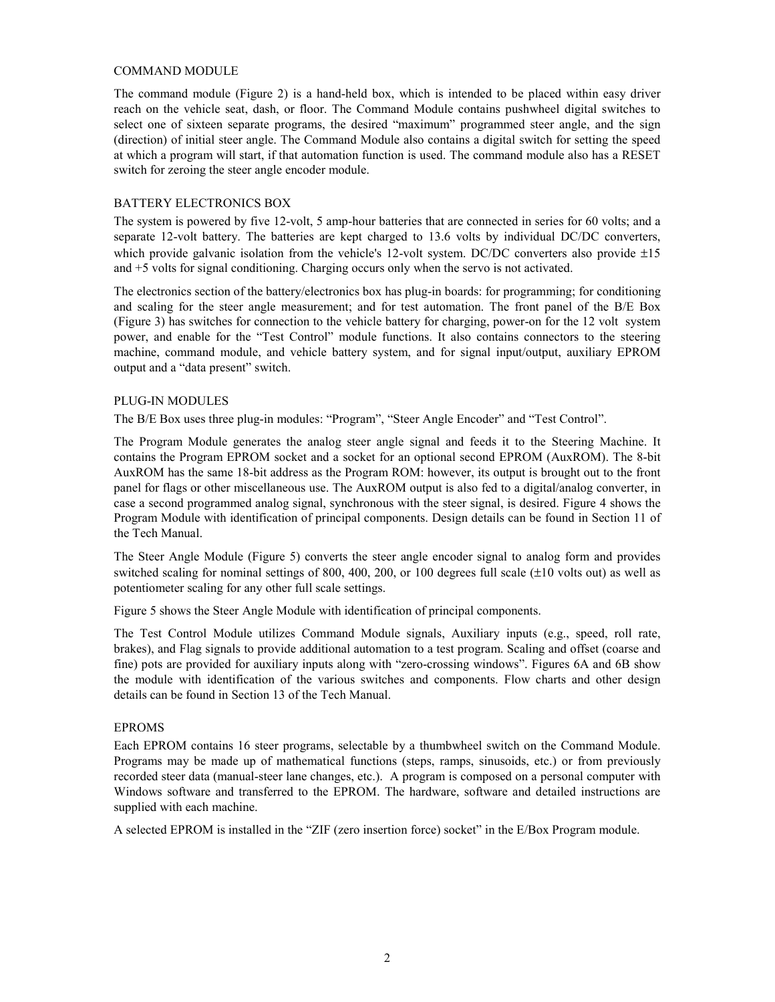#### COMMAND MODULE

The command module (Figure 2) is a hand-held box, which is intended to be placed within easy driver reach on the vehicle seat, dash, or floor. The Command Module contains pushwheel digital switches to select one of sixteen separate programs, the desired "maximum" programmed steer angle, and the sign (direction) of initial steer angle. The Command Module also contains a digital switch for setting the speed at which a program will start, if that automation function is used. The command module also has a RESET switch for zeroing the steer angle encoder module.

# BATTERY ELECTRONICS BOX

The system is powered by five 12-volt, 5 amp-hour batteries that are connected in series for 60 volts; and a separate 12-volt battery. The batteries are kept charged to 13.6 volts by individual DC/DC converters, which provide galvanic isolation from the vehicle's 12-volt system. DC/DC converters also provide  $\pm 15$ and +5 volts for signal conditioning. Charging occurs only when the servo is not activated.

The electronics section of the battery/electronics box has plug-in boards: for programming; for conditioning and scaling for the steer angle measurement; and for test automation. The front panel of the B/E Box (Figure 3) has switches for connection to the vehicle battery for charging, power-on for the 12 volt system power, and enable for the "Test Control" module functions. It also contains connectors to the steering machine, command module, and vehicle battery system, and for signal input/output, auxiliary EPROM output and a "data present" switch.

#### PLUG-IN MODULES

The B/E Box uses three plug-in modules: "Program", "Steer Angle Encoder" and "Test Control".

The Program Module generates the analog steer angle signal and feeds it to the Steering Machine. It contains the Program EPROM socket and a socket for an optional second EPROM (AuxROM). The 8-bit AuxROM has the same 18-bit address as the Program ROM: however, its output is brought out to the front panel for flags or other miscellaneous use. The AuxROM output is also fed to a digital/analog converter, in case a second programmed analog signal, synchronous with the steer signal, is desired. Figure 4 shows the Program Module with identification of principal components. Design details can be found in Section 11 of the Tech Manual.

The Steer Angle Module (Figure 5) converts the steer angle encoder signal to analog form and provides switched scaling for nominal settings of 800, 400, 200, or 100 degrees full scale (±10 volts out) as well as potentiometer scaling for any other full scale settings.

Figure 5 shows the Steer Angle Module with identification of principal components.

The Test Control Module utilizes Command Module signals, Auxiliary inputs (e.g., speed, roll rate, brakes), and Flag signals to provide additional automation to a test program. Scaling and offset (coarse and fine) pots are provided for auxiliary inputs along with "zero-crossing windows". Figures 6A and 6B show the module with identification of the various switches and components. Flow charts and other design details can be found in Section 13 of the Tech Manual.

# EPROMS

Each EPROM contains 16 steer programs, selectable by a thumbwheel switch on the Command Module. Programs may be made up of mathematical functions (steps, ramps, sinusoids, etc.) or from previously recorded steer data (manual-steer lane changes, etc.). A program is composed on a personal computer with Windows software and transferred to the EPROM. The hardware, software and detailed instructions are supplied with each machine.

A selected EPROM is installed in the "ZIF (zero insertion force) socket" in the E/Box Program module.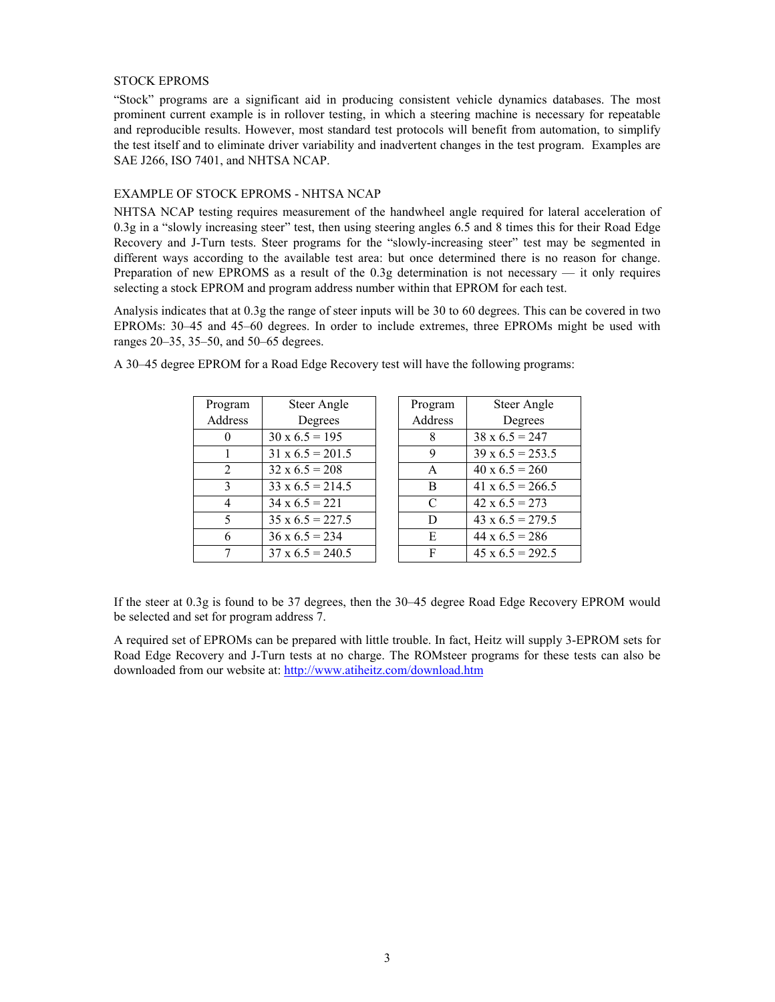#### STOCK EPROMS

"Stock" programs are a significant aid in producing consistent vehicle dynamics databases. The most prominent current example is in rollover testing, in which a steering machine is necessary for repeatable and reproducible results. However, most standard test protocols will benefit from automation, to simplify the test itself and to eliminate driver variability and inadvertent changes in the test program. Examples are SAE J266, ISO 7401, and NHTSA NCAP.

#### EXAMPLE OF STOCK EPROMS - NHTSA NCAP

NHTSA NCAP testing requires measurement of the handwheel angle required for lateral acceleration of 0.3g in a "slowly increasing steer" test, then using steering angles 6.5 and 8 times this for their Road Edge Recovery and J-Turn tests. Steer programs for the "slowly-increasing steer" test may be segmented in different ways according to the available test area: but once determined there is no reason for change. Preparation of new EPROMS as a result of the 0.3g determination is not necessary — it only requires selecting a stock EPROM and program address number within that EPROM for each test.

Analysis indicates that at 0.3g the range of steer inputs will be 30 to 60 degrees. This can be covered in two EPROMs: 30–45 and 45–60 degrees. In order to include extremes, three EPROMs might be used with ranges 20–35, 35–50, and 50–65 degrees.

| Program       | Steer Angle             | Program | Steer Angle             |
|---------------|-------------------------|---------|-------------------------|
| Address       | Degrees                 | Address | Degrees                 |
|               | $30 \times 6.5 = 195$   | 8       | $38 \times 6.5 = 247$   |
|               | $31 \times 6.5 = 201.5$ | 9       | $39 \times 6.5 = 253.5$ |
| 2             | $32 \times 6.5 = 208$   | A       | $40 \times 6.5 = 260$   |
| $\mathcal{E}$ | $33 \times 6.5 = 214.5$ | B       | $41 \times 6.5 = 266.5$ |
| 4             | $34 \times 6.5 = 221$   | C       | $42 \times 6.5 = 273$   |
| 5             | $35 \times 6.5 = 227.5$ | D       | $43 \times 6.5 = 279.5$ |
| 6             | $36 \times 6.5 = 234$   | E       | $44 \times 6.5 = 286$   |
|               | $37 \times 6.5 = 240.5$ | F       | $45 \times 6.5 = 292.5$ |

A 30–45 degree EPROM for a Road Edge Recovery test will have the following programs:

| Program | Steer Angle             |
|---------|-------------------------|
| Address | Degrees                 |
| 8       | $38 \times 6.5 = 247$   |
| 9       | $39 \times 6.5 = 253.5$ |
| A       | $40 \times 6.5 = 260$   |
| B       | $41 \times 6.5 = 266.5$ |
| C       | $42 \times 6.5 = 273$   |
| D       | $43 \times 6.5 = 279.5$ |
| E       | $44 \times 6.5 = 286$   |
| F       | $45 \times 6.5 = 292.5$ |

If the steer at 0.3g is found to be 37 degrees, then the 30–45 degree Road Edge Recovery EPROM would be selected and set for program address 7.

A required set of EPROMs can be prepared with little trouble. In fact, Heitz will supply 3-EPROM sets for Road Edge Recovery and J-Turn tests at no charge. The ROMsteer programs for these tests can also be downloaded from our website at: http://www.atiheitz.com/download.htm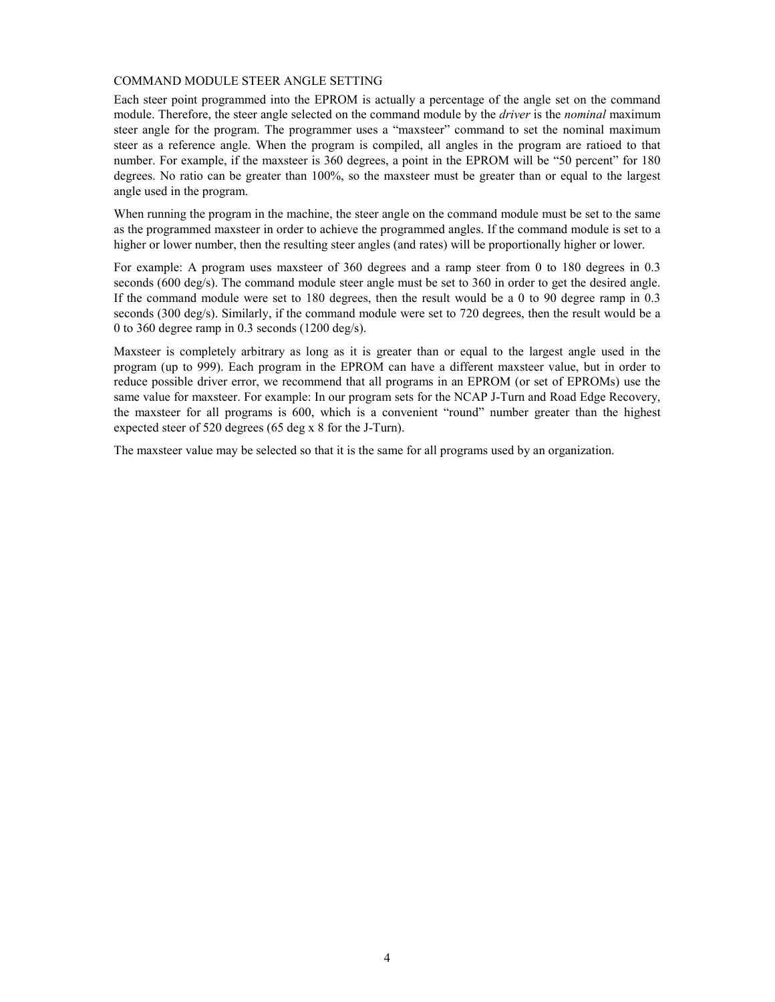#### COMMAND MODULE STEER ANGLE SETTING

Each steer point programmed into the EPROM is actually a percentage of the angle set on the command module. Therefore, the steer angle selected on the command module by the *driver* is the *nominal* maximum steer angle for the program. The programmer uses a "maxsteer" command to set the nominal maximum steer as a reference angle. When the program is compiled, all angles in the program are ratioed to that number. For example, if the maxsteer is 360 degrees, a point in the EPROM will be "50 percent" for 180 degrees. No ratio can be greater than 100%, so the maxsteer must be greater than or equal to the largest angle used in the program.

When running the program in the machine, the steer angle on the command module must be set to the same as the programmed maxsteer in order to achieve the programmed angles. If the command module is set to a higher or lower number, then the resulting steer angles (and rates) will be proportionally higher or lower.

For example: A program uses maxsteer of 360 degrees and a ramp steer from 0 to 180 degrees in 0.3 seconds (600 deg/s). The command module steer angle must be set to 360 in order to get the desired angle. If the command module were set to 180 degrees, then the result would be a 0 to 90 degree ramp in 0.3 seconds (300 deg/s). Similarly, if the command module were set to 720 degrees, then the result would be a 0 to 360 degree ramp in 0.3 seconds (1200 deg/s).

Maxsteer is completely arbitrary as long as it is greater than or equal to the largest angle used in the program (up to 999). Each program in the EPROM can have a different maxsteer value, but in order to reduce possible driver error, we recommend that all programs in an EPROM (or set of EPROMs) use the same value for maxsteer. For example: In our program sets for the NCAP J-Turn and Road Edge Recovery, the maxsteer for all programs is 600, which is a convenient "round" number greater than the highest expected steer of 520 degrees (65 deg x 8 for the J-Turn).

The maxsteer value may be selected so that it is the same for all programs used by an organization.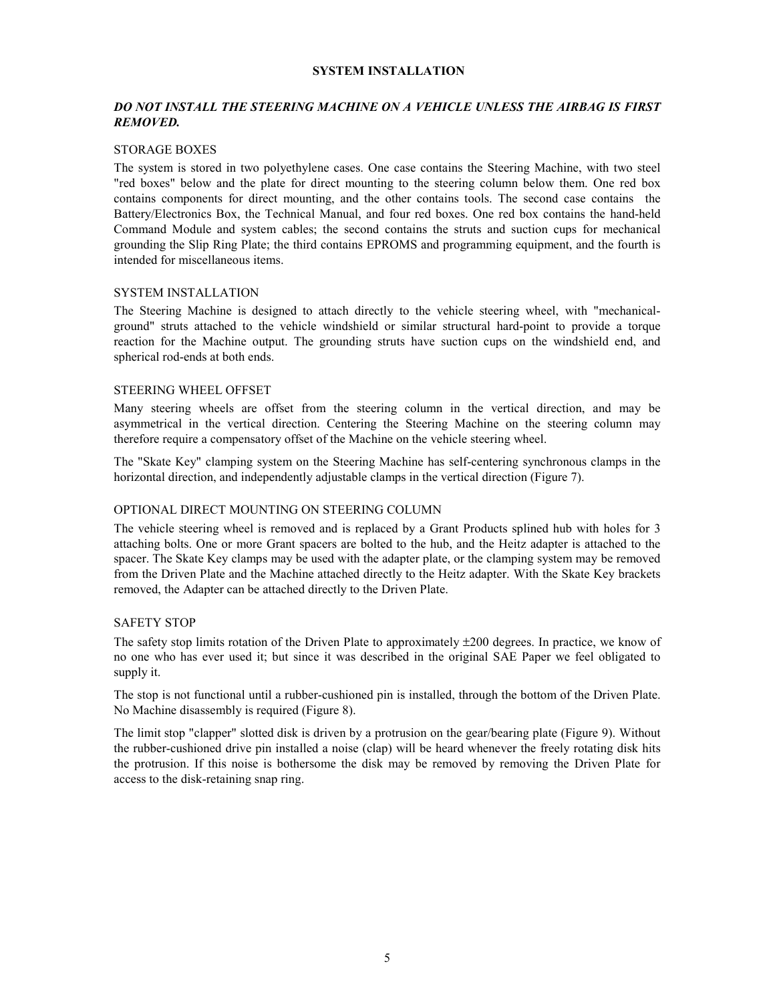#### **SYSTEM INSTALLATION**

# *DO NOT INSTALL THE STEERING MACHINE ON A VEHICLE UNLESS THE AIRBAG IS FIRST REMOVED.*

#### STORAGE BOXES

The system is stored in two polyethylene cases. One case contains the Steering Machine, with two steel "red boxes" below and the plate for direct mounting to the steering column below them. One red box contains components for direct mounting, and the other contains tools. The second case contains the Battery/Electronics Box, the Technical Manual, and four red boxes. One red box contains the hand-held Command Module and system cables; the second contains the struts and suction cups for mechanical grounding the Slip Ring Plate; the third contains EPROMS and programming equipment, and the fourth is intended for miscellaneous items.

#### SYSTEM INSTALLATION

The Steering Machine is designed to attach directly to the vehicle steering wheel, with "mechanicalground" struts attached to the vehicle windshield or similar structural hard-point to provide a torque reaction for the Machine output. The grounding struts have suction cups on the windshield end, and spherical rod-ends at both ends.

#### STEERING WHEEL OFFSET

Many steering wheels are offset from the steering column in the vertical direction, and may be asymmetrical in the vertical direction. Centering the Steering Machine on the steering column may therefore require a compensatory offset of the Machine on the vehicle steering wheel.

The "Skate Key" clamping system on the Steering Machine has self-centering synchronous clamps in the horizontal direction, and independently adjustable clamps in the vertical direction (Figure 7).

#### OPTIONAL DIRECT MOUNTING ON STEERING COLUMN

The vehicle steering wheel is removed and is replaced by a Grant Products splined hub with holes for 3 attaching bolts. One or more Grant spacers are bolted to the hub, and the Heitz adapter is attached to the spacer. The Skate Key clamps may be used with the adapter plate, or the clamping system may be removed from the Driven Plate and the Machine attached directly to the Heitz adapter. With the Skate Key brackets removed, the Adapter can be attached directly to the Driven Plate.

#### SAFETY STOP

The safety stop limits rotation of the Driven Plate to approximately ±200 degrees. In practice, we know of no one who has ever used it; but since it was described in the original SAE Paper we feel obligated to supply it.

The stop is not functional until a rubber-cushioned pin is installed, through the bottom of the Driven Plate. No Machine disassembly is required (Figure 8).

The limit stop "clapper" slotted disk is driven by a protrusion on the gear/bearing plate (Figure 9). Without the rubber-cushioned drive pin installed a noise (clap) will be heard whenever the freely rotating disk hits the protrusion. If this noise is bothersome the disk may be removed by removing the Driven Plate for access to the disk-retaining snap ring.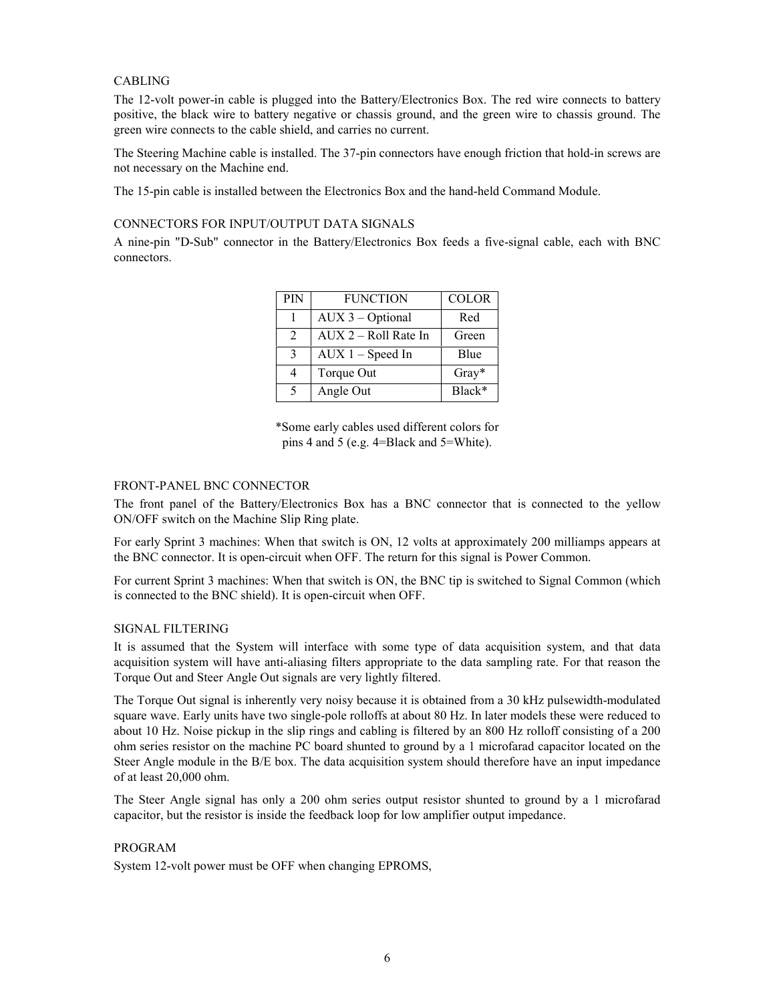# CABLING

The 12-volt power-in cable is plugged into the Battery/Electronics Box. The red wire connects to battery positive, the black wire to battery negative or chassis ground, and the green wire to chassis ground. The green wire connects to the cable shield, and carries no current.

The Steering Machine cable is installed. The 37-pin connectors have enough friction that hold-in screws are not necessary on the Machine end.

The 15-pin cable is installed between the Electronics Box and the hand-held Command Module.

### CONNECTORS FOR INPUT/OUTPUT DATA SIGNALS

A nine-pin "D-Sub" connector in the Battery/Electronics Box feeds a five-signal cable, each with BNC connectors.

| <b>PIN</b>     | <b>FUNCTION</b>      | <b>COLOR</b> |
|----------------|----------------------|--------------|
|                | $AUX$ 3 – Optional   | Red          |
| $\overline{2}$ | AUX 2 - Roll Rate In | Green        |
| $\mathcal{R}$  | $AUX 1 - Speed In$   | Blue         |
| 4              | Torque Out           | $Gray*$      |
| 5              | Angle Out            | Black*       |

\*Some early cables used different colors for pins 4 and 5 (e.g. 4=Black and 5=White).

#### FRONT-PANEL BNC CONNECTOR

The front panel of the Battery/Electronics Box has a BNC connector that is connected to the yellow ON/OFF switch on the Machine Slip Ring plate.

For early Sprint 3 machines: When that switch is ON, 12 volts at approximately 200 milliamps appears at the BNC connector. It is open-circuit when OFF. The return for this signal is Power Common.

For current Sprint 3 machines: When that switch is ON, the BNC tip is switched to Signal Common (which is connected to the BNC shield). It is open-circuit when OFF.

#### SIGNAL FILTERING

It is assumed that the System will interface with some type of data acquisition system, and that data acquisition system will have anti-aliasing filters appropriate to the data sampling rate. For that reason the Torque Out and Steer Angle Out signals are very lightly filtered.

The Torque Out signal is inherently very noisy because it is obtained from a 30 kHz pulsewidth-modulated square wave. Early units have two single-pole rolloffs at about 80 Hz. In later models these were reduced to about 10 Hz. Noise pickup in the slip rings and cabling is filtered by an 800 Hz rolloff consisting of a 200 ohm series resistor on the machine PC board shunted to ground by a 1 microfarad capacitor located on the Steer Angle module in the B/E box. The data acquisition system should therefore have an input impedance of at least 20,000 ohm.

The Steer Angle signal has only a 200 ohm series output resistor shunted to ground by a 1 microfarad capacitor, but the resistor is inside the feedback loop for low amplifier output impedance.

#### PROGRAM

System 12-volt power must be OFF when changing EPROMS,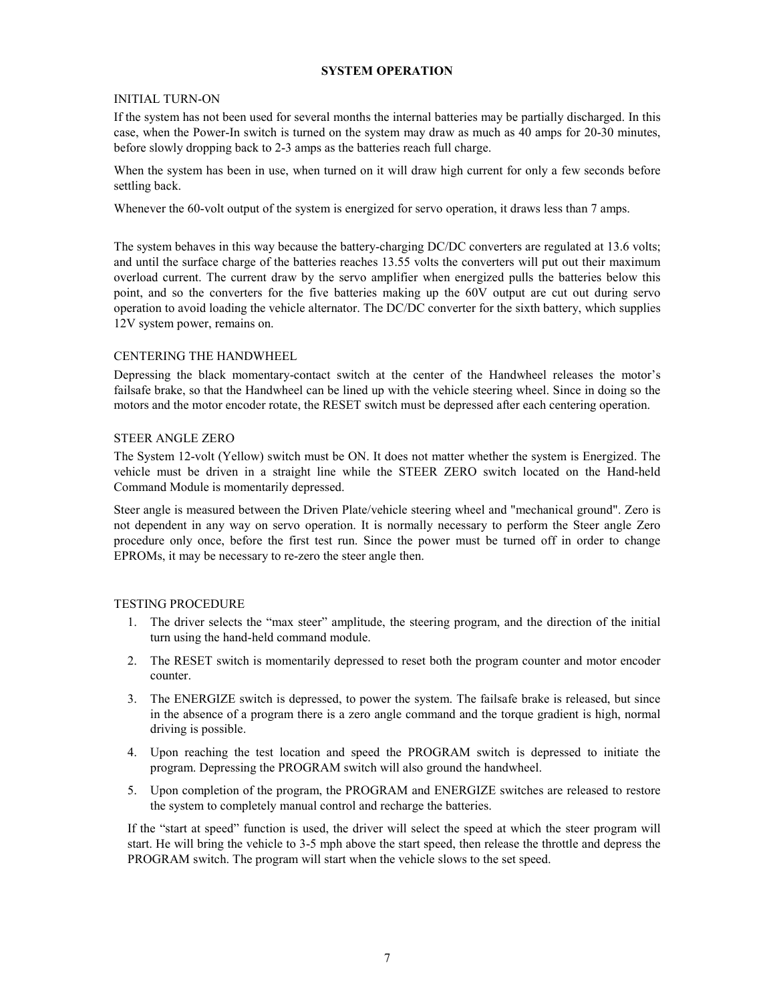### **SYSTEM OPERATION**

#### INITIAL TURN-ON

If the system has not been used for several months the internal batteries may be partially discharged. In this case, when the Power-In switch is turned on the system may draw as much as 40 amps for 20-30 minutes, before slowly dropping back to 2-3 amps as the batteries reach full charge.

When the system has been in use, when turned on it will draw high current for only a few seconds before settling back.

Whenever the 60-volt output of the system is energized for servo operation, it draws less than 7 amps.

The system behaves in this way because the battery-charging DC/DC converters are regulated at 13.6 volts; and until the surface charge of the batteries reaches 13.55 volts the converters will put out their maximum overload current. The current draw by the servo amplifier when energized pulls the batteries below this point, and so the converters for the five batteries making up the 60V output are cut out during servo operation to avoid loading the vehicle alternator. The DC/DC converter for the sixth battery, which supplies 12V system power, remains on.

#### CENTERING THE HANDWHEEL

Depressing the black momentary-contact switch at the center of the Handwheel releases the motor's failsafe brake, so that the Handwheel can be lined up with the vehicle steering wheel. Since in doing so the motors and the motor encoder rotate, the RESET switch must be depressed after each centering operation.

### STEER ANGLE ZERO

The System 12-volt (Yellow) switch must be ON. It does not matter whether the system is Energized. The vehicle must be driven in a straight line while the STEER ZERO switch located on the Hand-held Command Module is momentarily depressed.

Steer angle is measured between the Driven Plate/vehicle steering wheel and "mechanical ground". Zero is not dependent in any way on servo operation. It is normally necessary to perform the Steer angle Zero procedure only once, before the first test run. Since the power must be turned off in order to change EPROMs, it may be necessary to re-zero the steer angle then.

#### TESTING PROCEDURE

- 1. The driver selects the "max steer" amplitude, the steering program, and the direction of the initial turn using the hand-held command module.
- 2. The RESET switch is momentarily depressed to reset both the program counter and motor encoder counter.
- 3. The ENERGIZE switch is depressed, to power the system. The failsafe brake is released, but since in the absence of a program there is a zero angle command and the torque gradient is high, normal driving is possible.
- 4. Upon reaching the test location and speed the PROGRAM switch is depressed to initiate the program. Depressing the PROGRAM switch will also ground the handwheel.
- 5. Upon completion of the program, the PROGRAM and ENERGIZE switches are released to restore the system to completely manual control and recharge the batteries.

If the "start at speed" function is used, the driver will select the speed at which the steer program will start. He will bring the vehicle to 3-5 mph above the start speed, then release the throttle and depress the PROGRAM switch. The program will start when the vehicle slows to the set speed.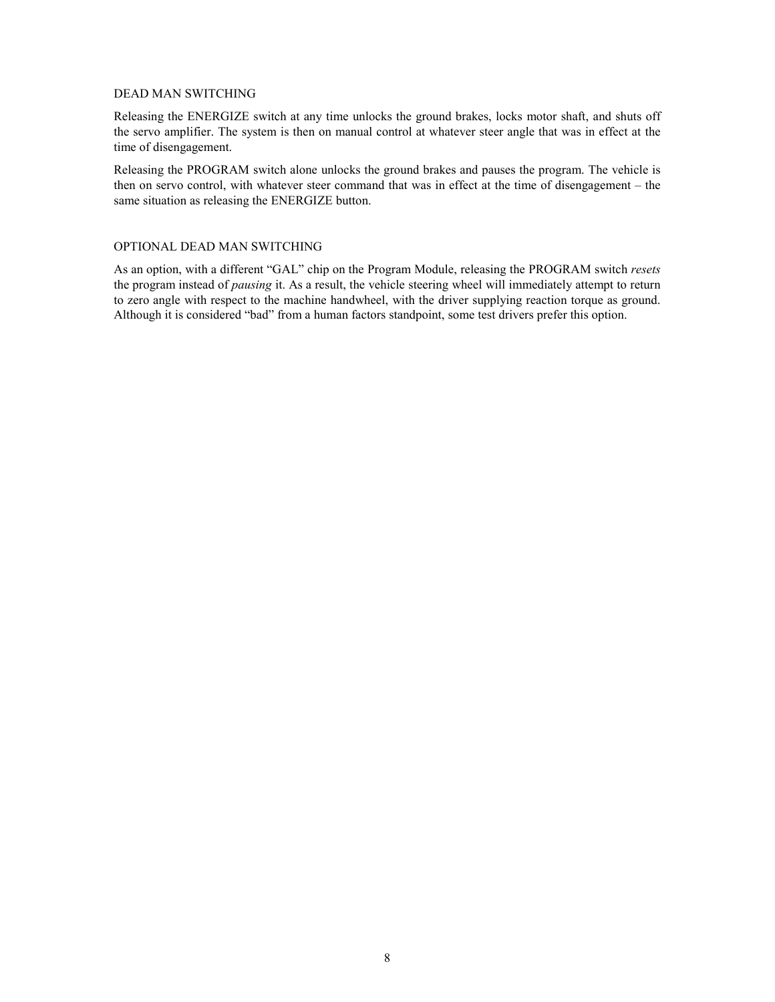#### DEAD MAN SWITCHING

Releasing the ENERGIZE switch at any time unlocks the ground brakes, locks motor shaft, and shuts off the servo amplifier. The system is then on manual control at whatever steer angle that was in effect at the time of disengagement.

Releasing the PROGRAM switch alone unlocks the ground brakes and pauses the program. The vehicle is then on servo control, with whatever steer command that was in effect at the time of disengagement – the same situation as releasing the ENERGIZE button.

#### OPTIONAL DEAD MAN SWITCHING

As an option, with a different "GAL" chip on the Program Module, releasing the PROGRAM switch *resets* the program instead of *pausing* it. As a result, the vehicle steering wheel will immediately attempt to return to zero angle with respect to the machine handwheel, with the driver supplying reaction torque as ground. Although it is considered "bad" from a human factors standpoint, some test drivers prefer this option.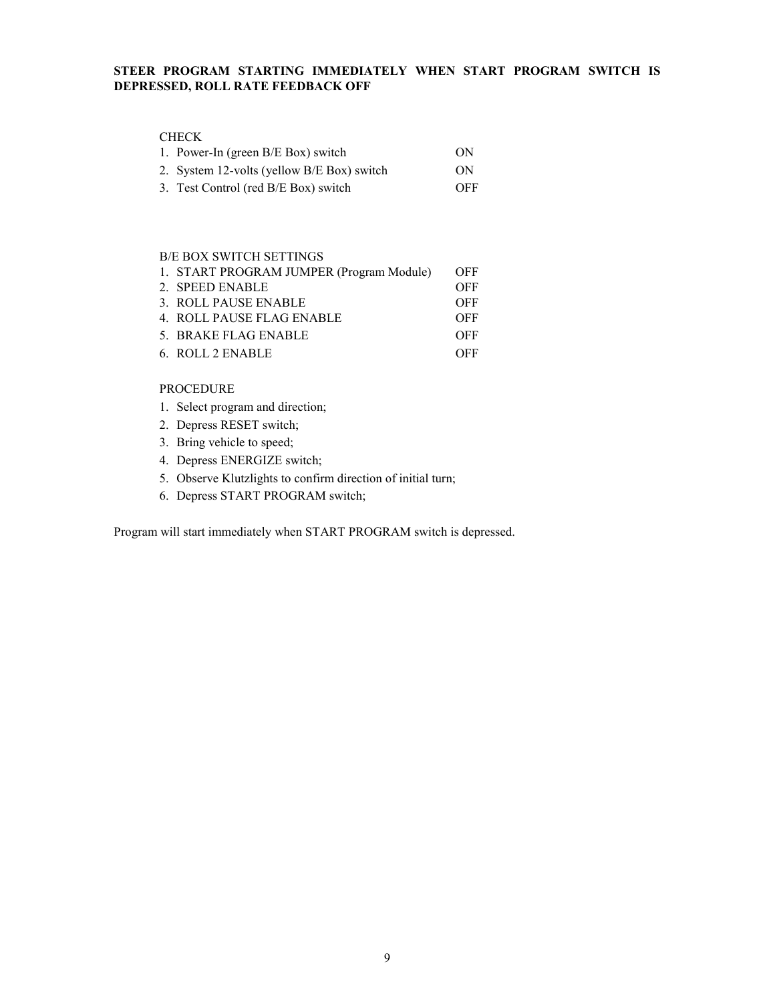# **STEER PROGRAM STARTING IMMEDIATELY WHEN START PROGRAM SWITCH IS DEPRESSED, ROLL RATE FEEDBACK OFF**

# CHECK

| 1. Power-In (green B/E Box) switch         | ON  |
|--------------------------------------------|-----|
| 2. System 12-volts (yellow B/E Box) switch | ON  |
| 3. Test Control (red B/E Box) switch       | OFF |

#### B/E BOX SWITCH SETTINGS

| 1. START PROGRAM JUMPER (Program Module) | <b>OFF</b> |
|------------------------------------------|------------|
| 2. SPEED ENABLE                          | <b>OFF</b> |
| 3. ROLL PAUSE ENABLE                     | OFF        |
| 4. ROLL PAUSE FLAG ENABLE                | <b>OFF</b> |
| 5. BRAKE FLAG ENABLE                     | <b>OFF</b> |
| 6. ROLL 2 ENABLE                         | OFF        |

#### PROCEDURE

- 1. Select program and direction;
- 2. Depress RESET switch;
- 3. Bring vehicle to speed;
- 4. Depress ENERGIZE switch;
- 5. Observe Klutzlights to confirm direction of initial turn;
- 6. Depress START PROGRAM switch;

Program will start immediately when START PROGRAM switch is depressed.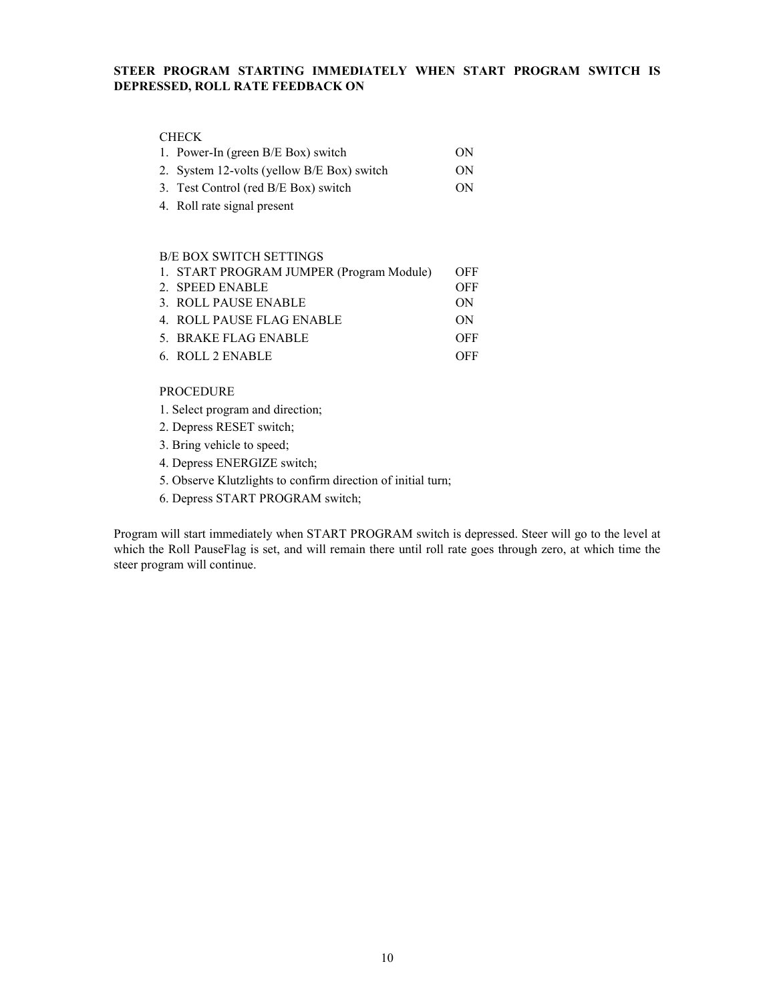# **STEER PROGRAM STARTING IMMEDIATELY WHEN START PROGRAM SWITCH IS DEPRESSED, ROLL RATE FEEDBACK ON**

### CHECK

| 1. Power-In (green B/E Box) switch         | ON  |
|--------------------------------------------|-----|
| 2. System 12-volts (yellow B/E Box) switch | ON. |
| 3. Test Control (red B/E Box) switch       | ON. |

4. Roll rate signal present

#### B/E BOX SWITCH SETTINGS

| 1. START PROGRAM JUMPER (Program Module) | <b>OFF</b> |
|------------------------------------------|------------|
| 2. SPEED ENABLE                          | OFF        |
| 3. ROLL PAUSE ENABLE                     | ON         |
| 4. ROLL PAUSE FLAG ENABLE                | ON         |
| 5. BRAKE FLAG ENABLE                     | OFF        |
| 6. ROLL 2 ENABLE                         | OFF        |

#### PROCEDURE

- 1. Select program and direction;
- 2. Depress RESET switch;
- 3. Bring vehicle to speed;
- 4. Depress ENERGIZE switch;
- 5. Observe Klutzlights to confirm direction of initial turn;
- 6. Depress START PROGRAM switch;

Program will start immediately when START PROGRAM switch is depressed. Steer will go to the level at which the Roll PauseFlag is set, and will remain there until roll rate goes through zero, at which time the steer program will continue.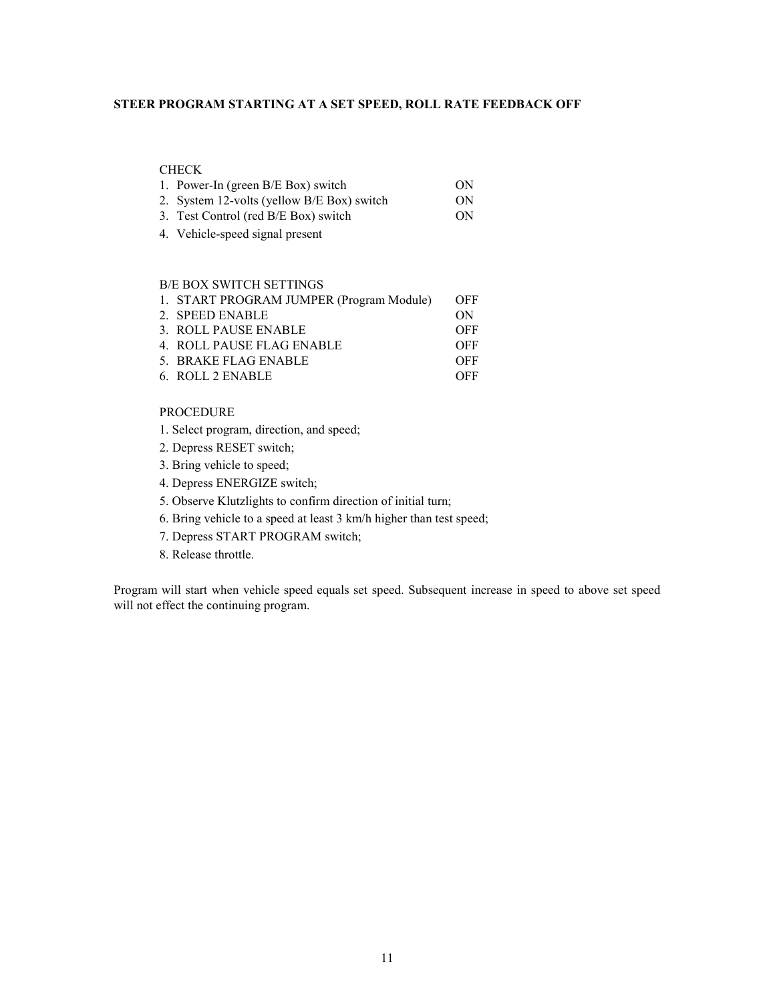# **STEER PROGRAM STARTING AT A SET SPEED, ROLL RATE FEEDBACK OFF**

# CHECK

| 1. Power-In (green B/E Box) switch         | ON. |
|--------------------------------------------|-----|
| 2. System 12-volts (yellow B/E Box) switch | ON. |

- 3. Test Control (red B/E Box) switch ON
- 4. Vehicle-speed signal present

#### B/E BOX SWITCH SETTINGS

| 1. START PROGRAM JUMPER (Program Module) | <b>OFF</b> |
|------------------------------------------|------------|
| 2. SPEED ENABLE                          | ON         |
| 3. ROLL PAUSE ENABLE                     | <b>OFF</b> |
| 4. ROLL PAUSE FLAG ENABLE                | <b>OFF</b> |
| 5. BRAKE FLAG ENABLE                     | OFF        |
| 6. ROLL 2 ENABLE                         | OFF.       |

#### PROCEDURE

- 1. Select program, direction, and speed;
- 2. Depress RESET switch;
- 3. Bring vehicle to speed;
- 4. Depress ENERGIZE switch;
- 5. Observe Klutzlights to confirm direction of initial turn;
- 6. Bring vehicle to a speed at least 3 km/h higher than test speed;
- 7. Depress START PROGRAM switch;
- 8. Release throttle.

Program will start when vehicle speed equals set speed. Subsequent increase in speed to above set speed will not effect the continuing program.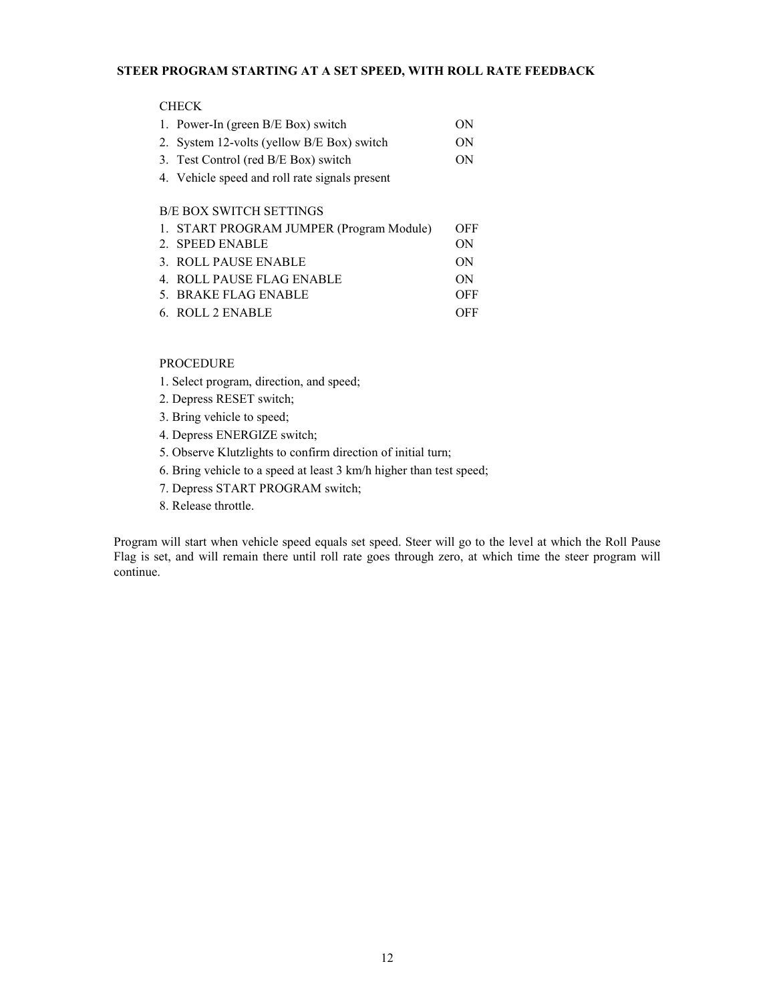# **STEER PROGRAM STARTING AT A SET SPEED, WITH ROLL RATE FEEDBACK**

#### CHECK

| 1. Power-In (green B/E Box) switch             | ON  |
|------------------------------------------------|-----|
| 2. System 12-volts (yellow B/E Box) switch     | ON  |
| 3. Test Control (red B/E Box) switch           | ON. |
| 4. Vehicle speed and roll rate signals present |     |
|                                                |     |

# B/E BOX SWITCH SETTINGS

| 1. START PROGRAM JUMPER (Program Module) | OFF |
|------------------------------------------|-----|
| 2. SPEED ENABLE                          | ON  |
| 3. ROLL PAUSE ENABLE                     | ON  |
| 4. ROLL PAUSE FLAG ENABLE                | ON  |
| 5. BRAKE FLAG ENABLE                     | OFF |
| 6. ROLL 2 ENABLE                         | OFF |

PROCEDURE

- 1. Select program, direction, and speed;
- 2. Depress RESET switch;
- 3. Bring vehicle to speed;
- 4. Depress ENERGIZE switch;
- 5. Observe Klutzlights to confirm direction of initial turn;
- 6. Bring vehicle to a speed at least 3 km/h higher than test speed;
- 7. Depress START PROGRAM switch;
- 8. Release throttle.

Program will start when vehicle speed equals set speed. Steer will go to the level at which the Roll Pause Flag is set, and will remain there until roll rate goes through zero, at which time the steer program will continue.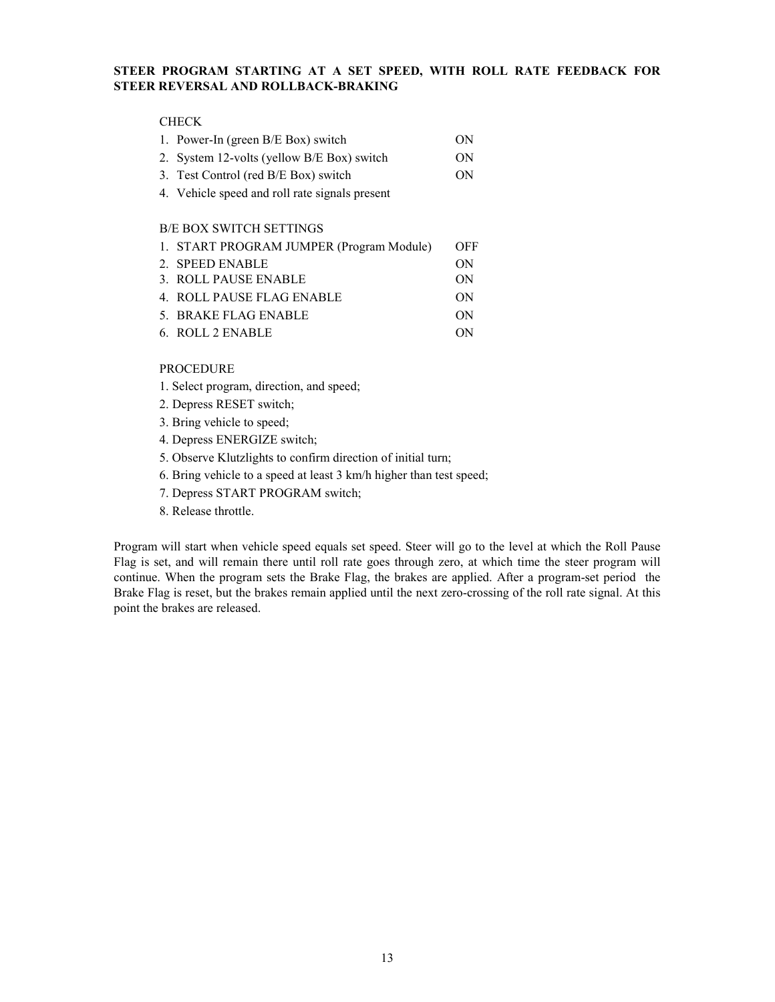# **STEER PROGRAM STARTING AT A SET SPEED, WITH ROLL RATE FEEDBACK FOR STEER REVERSAL AND ROLLBACK-BRAKING**

# **CHECK**

| 1. Power-In (green B/E Box) switch         | ON |
|--------------------------------------------|----|
| 2. System 12-volts (yellow B/E Box) switch | ON |
| 3. Test Control (red B/E Box) switch       | ON |

4. Vehicle speed and roll rate signals present

### B/E BOX SWITCH SETTINGS

| 1. START PROGRAM JUMPER (Program Module) | <b>OFF</b> |
|------------------------------------------|------------|
| 2. SPEED ENABLE                          | ON         |
| 3. ROLL PAUSE ENABLE                     | ON         |
| 4. ROLL PAUSE FLAG ENABLE                | ON         |
| 5. BRAKE FLAG ENABLE                     | ON         |
| 6. ROLL 2 ENABLE                         | ON         |

#### PROCEDURE

- 1. Select program, direction, and speed;
- 2. Depress RESET switch;
- 3. Bring vehicle to speed;
- 4. Depress ENERGIZE switch;
- 5. Observe Klutzlights to confirm direction of initial turn;
- 6. Bring vehicle to a speed at least 3 km/h higher than test speed;
- 7. Depress START PROGRAM switch;
- 8. Release throttle.

Program will start when vehicle speed equals set speed. Steer will go to the level at which the Roll Pause Flag is set, and will remain there until roll rate goes through zero, at which time the steer program will continue. When the program sets the Brake Flag, the brakes are applied. After a program-set period the Brake Flag is reset, but the brakes remain applied until the next zero-crossing of the roll rate signal. At this point the brakes are released.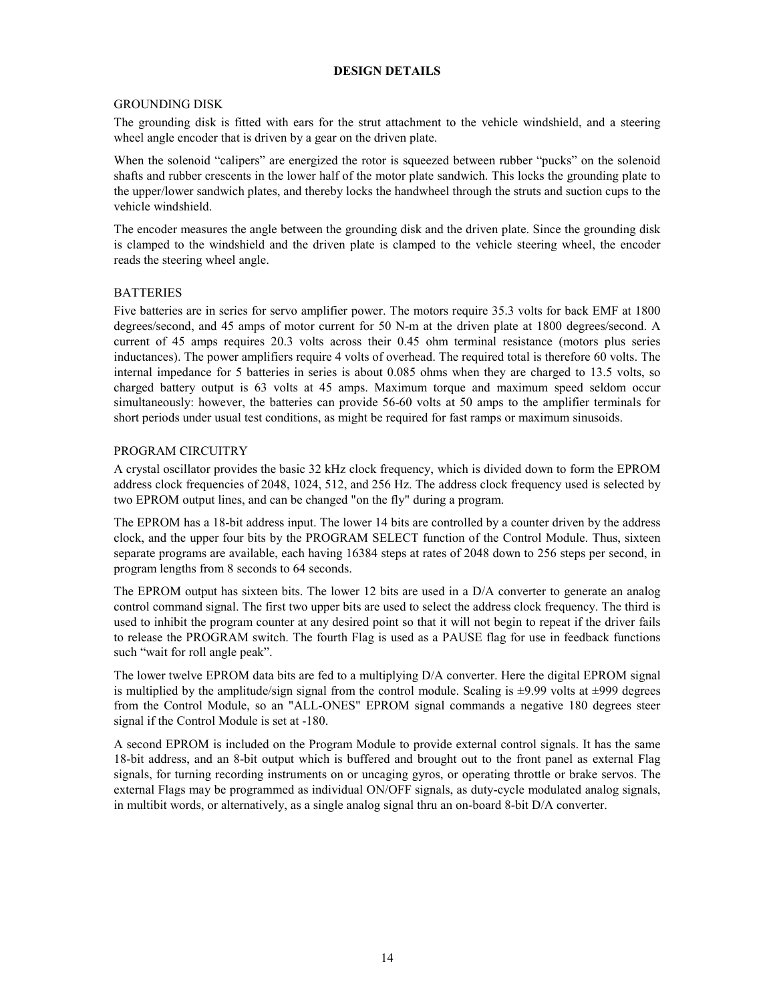#### **DESIGN DETAILS**

# GROUNDING DISK

The grounding disk is fitted with ears for the strut attachment to the vehicle windshield, and a steering wheel angle encoder that is driven by a gear on the driven plate.

When the solenoid "calipers" are energized the rotor is squeezed between rubber "pucks" on the solenoid shafts and rubber crescents in the lower half of the motor plate sandwich. This locks the grounding plate to the upper/lower sandwich plates, and thereby locks the handwheel through the struts and suction cups to the vehicle windshield.

The encoder measures the angle between the grounding disk and the driven plate. Since the grounding disk is clamped to the windshield and the driven plate is clamped to the vehicle steering wheel, the encoder reads the steering wheel angle.

#### **BATTERIES**

Five batteries are in series for servo amplifier power. The motors require 35.3 volts for back EMF at 1800 degrees/second, and 45 amps of motor current for 50 N-m at the driven plate at 1800 degrees/second. A current of 45 amps requires 20.3 volts across their 0.45 ohm terminal resistance (motors plus series inductances). The power amplifiers require 4 volts of overhead. The required total is therefore 60 volts. The internal impedance for 5 batteries in series is about 0.085 ohms when they are charged to 13.5 volts, so charged battery output is 63 volts at 45 amps. Maximum torque and maximum speed seldom occur simultaneously: however, the batteries can provide 56-60 volts at 50 amps to the amplifier terminals for short periods under usual test conditions, as might be required for fast ramps or maximum sinusoids.

#### PROGRAM CIRCUITRY

A crystal oscillator provides the basic 32 kHz clock frequency, which is divided down to form the EPROM address clock frequencies of 2048, 1024, 512, and 256 Hz. The address clock frequency used is selected by two EPROM output lines, and can be changed "on the fly" during a program.

The EPROM has a 18-bit address input. The lower 14 bits are controlled by a counter driven by the address clock, and the upper four bits by the PROGRAM SELECT function of the Control Module. Thus, sixteen separate programs are available, each having 16384 steps at rates of 2048 down to 256 steps per second, in program lengths from 8 seconds to 64 seconds.

The EPROM output has sixteen bits. The lower 12 bits are used in a D/A converter to generate an analog control command signal. The first two upper bits are used to select the address clock frequency. The third is used to inhibit the program counter at any desired point so that it will not begin to repeat if the driver fails to release the PROGRAM switch. The fourth Flag is used as a PAUSE flag for use in feedback functions such "wait for roll angle peak".

The lower twelve EPROM data bits are fed to a multiplying D/A converter. Here the digital EPROM signal is multiplied by the amplitude/sign signal from the control module. Scaling is  $\pm 9.99$  volts at  $\pm 999$  degrees from the Control Module, so an "ALL-ONES" EPROM signal commands a negative 180 degrees steer signal if the Control Module is set at -180.

A second EPROM is included on the Program Module to provide external control signals. It has the same 18-bit address, and an 8-bit output which is buffered and brought out to the front panel as external Flag signals, for turning recording instruments on or uncaging gyros, or operating throttle or brake servos. The external Flags may be programmed as individual ON/OFF signals, as duty-cycle modulated analog signals, in multibit words, or alternatively, as a single analog signal thru an on-board 8-bit D/A converter.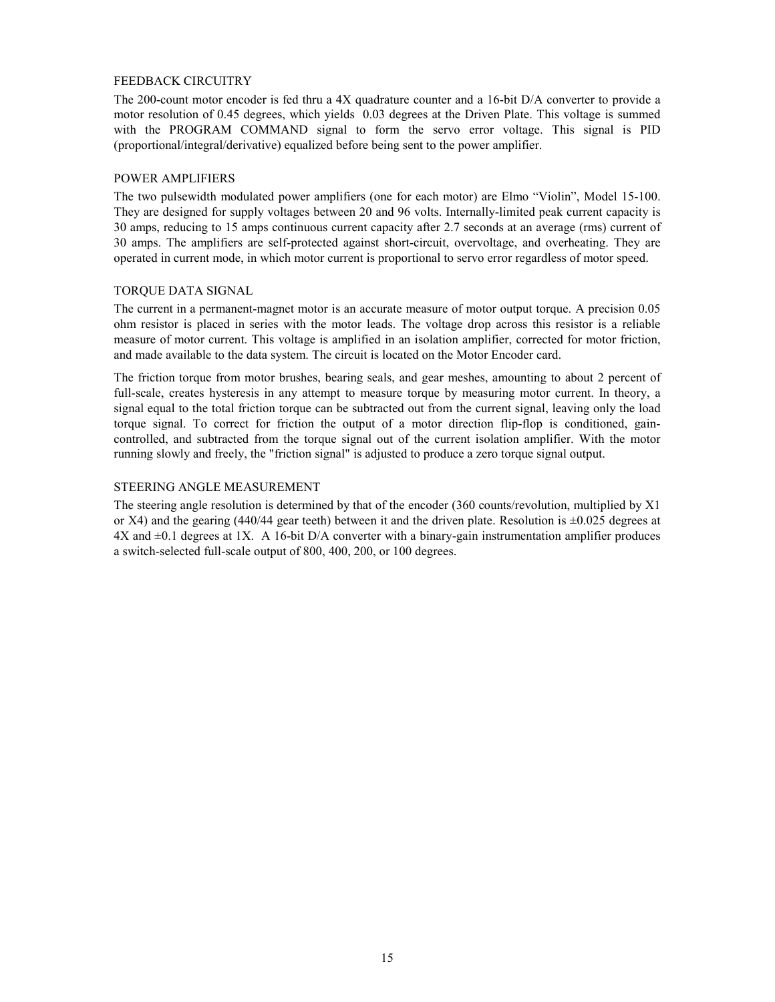#### FEEDBACK CIRCUITRY

The 200-count motor encoder is fed thru a 4X quadrature counter and a 16-bit D/A converter to provide a motor resolution of 0.45 degrees, which yields 0.03 degrees at the Driven Plate. This voltage is summed with the PROGRAM COMMAND signal to form the servo error voltage. This signal is PID (proportional/integral/derivative) equalized before being sent to the power amplifier.

#### POWER AMPLIFIERS

The two pulsewidth modulated power amplifiers (one for each motor) are Elmo "Violin", Model 15-100. They are designed for supply voltages between 20 and 96 volts. Internally-limited peak current capacity is 30 amps, reducing to 15 amps continuous current capacity after 2.7 seconds at an average (rms) current of 30 amps. The amplifiers are self-protected against short-circuit, overvoltage, and overheating. They are operated in current mode, in which motor current is proportional to servo error regardless of motor speed.

#### TORQUE DATA SIGNAL

The current in a permanent-magnet motor is an accurate measure of motor output torque. A precision 0.05 ohm resistor is placed in series with the motor leads. The voltage drop across this resistor is a reliable measure of motor current. This voltage is amplified in an isolation amplifier, corrected for motor friction, and made available to the data system. The circuit is located on the Motor Encoder card.

The friction torque from motor brushes, bearing seals, and gear meshes, amounting to about 2 percent of full-scale, creates hysteresis in any attempt to measure torque by measuring motor current. In theory, a signal equal to the total friction torque can be subtracted out from the current signal, leaving only the load torque signal. To correct for friction the output of a motor direction flip-flop is conditioned, gaincontrolled, and subtracted from the torque signal out of the current isolation amplifier. With the motor running slowly and freely, the "friction signal" is adjusted to produce a zero torque signal output.

#### STEERING ANGLE MEASUREMENT

The steering angle resolution is determined by that of the encoder (360 counts/revolution, multiplied by X1 or X4) and the gearing (440/44 gear teeth) between it and the driven plate. Resolution is  $\pm 0.025$  degrees at  $4X$  and  $\pm 0.1$  degrees at 1X. A 16-bit D/A converter with a binary-gain instrumentation amplifier produces a switch-selected full-scale output of 800, 400, 200, or 100 degrees.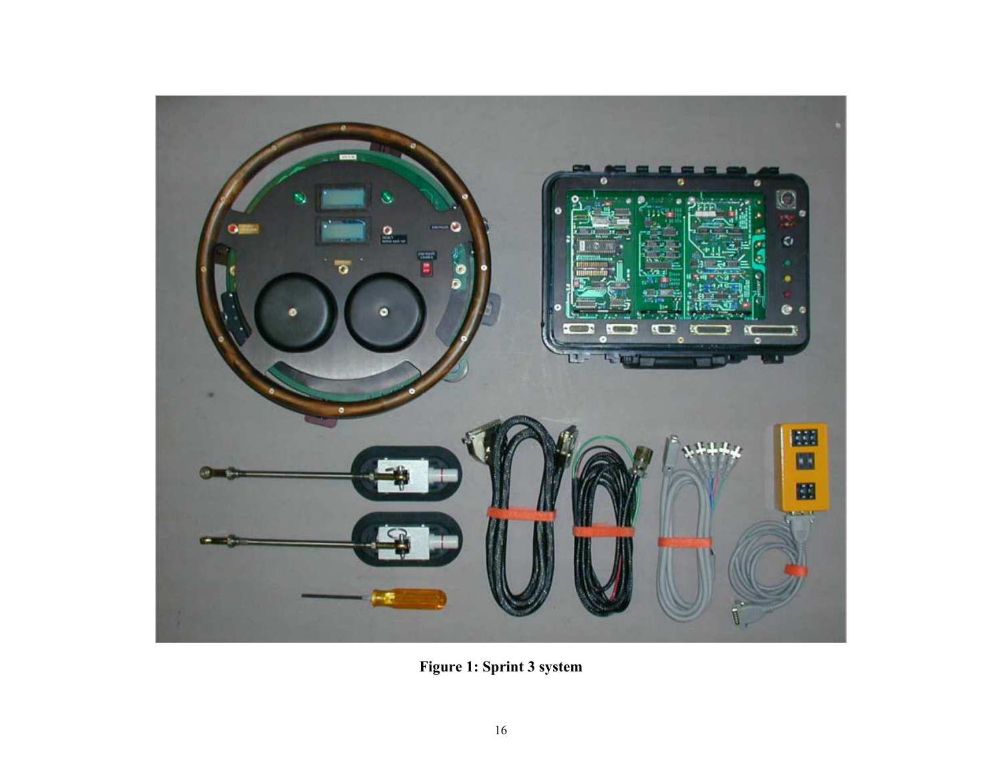

**Figure 1: Sprint 3 system**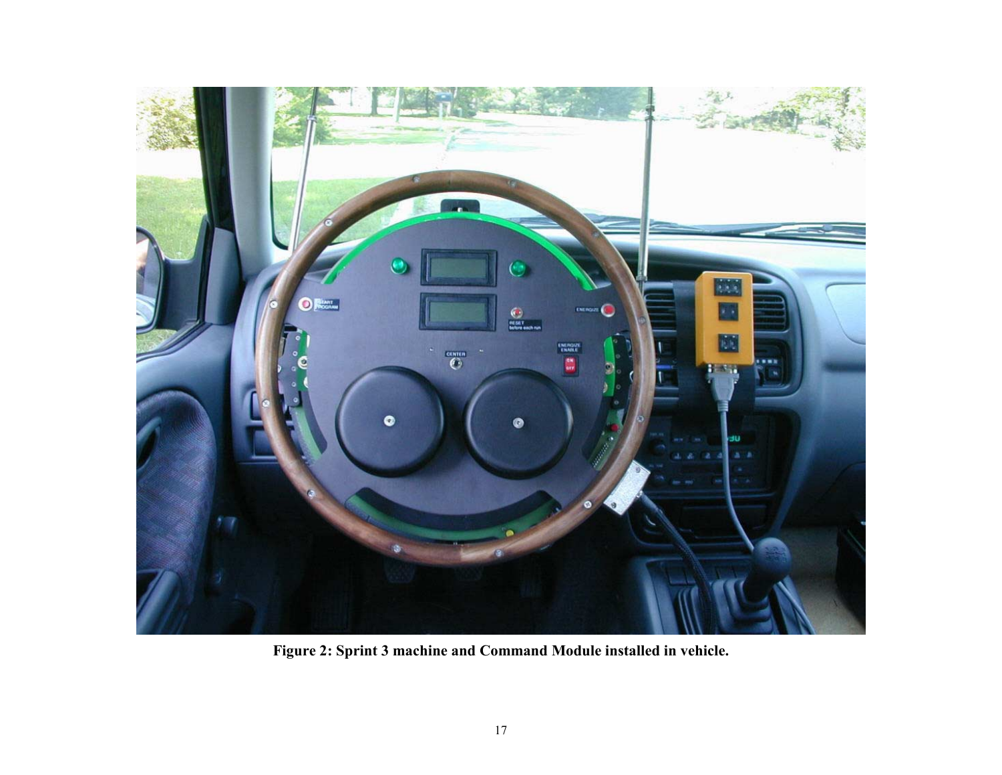

**Figure 2: Sprint 3 machine and Command Module installed in vehicle.**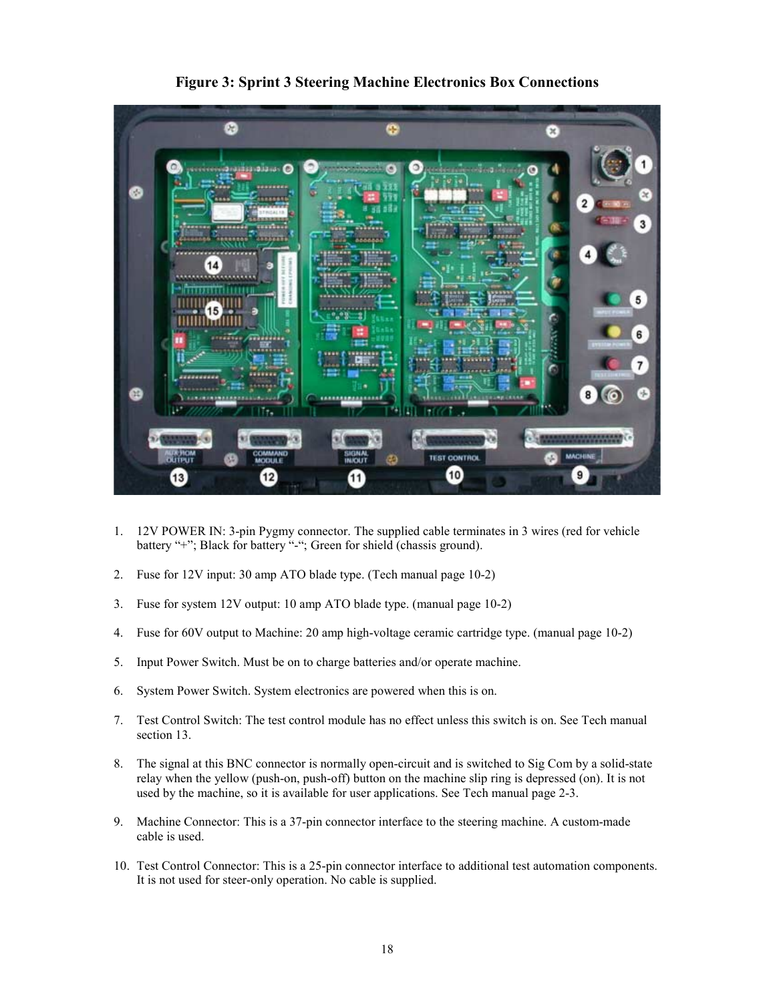

**Figure 3: Sprint 3 Steering Machine Electronics Box Connections**

- 1. 12V POWER IN: 3-pin Pygmy connector. The supplied cable terminates in 3 wires (red for vehicle battery "+"; Black for battery "-"; Green for shield (chassis ground).
- 2. Fuse for 12V input: 30 amp ATO blade type. (Tech manual page 10-2)
- 3. Fuse for system 12V output: 10 amp ATO blade type. (manual page 10-2)
- 4. Fuse for 60V output to Machine: 20 amp high-voltage ceramic cartridge type. (manual page 10-2)
- 5. Input Power Switch. Must be on to charge batteries and/or operate machine.
- 6. System Power Switch. System electronics are powered when this is on.
- 7. Test Control Switch: The test control module has no effect unless this switch is on. See Tech manual section 13.
- 8. The signal at this BNC connector is normally open-circuit and is switched to Sig Com by a solid-state relay when the yellow (push-on, push-off) button on the machine slip ring is depressed (on). It is not used by the machine, so it is available for user applications. See Tech manual page 2-3.
- 9. Machine Connector: This is a 37-pin connector interface to the steering machine. A custom-made cable is used.
- 10. Test Control Connector: This is a 25-pin connector interface to additional test automation components. It is not used for steer-only operation. No cable is supplied.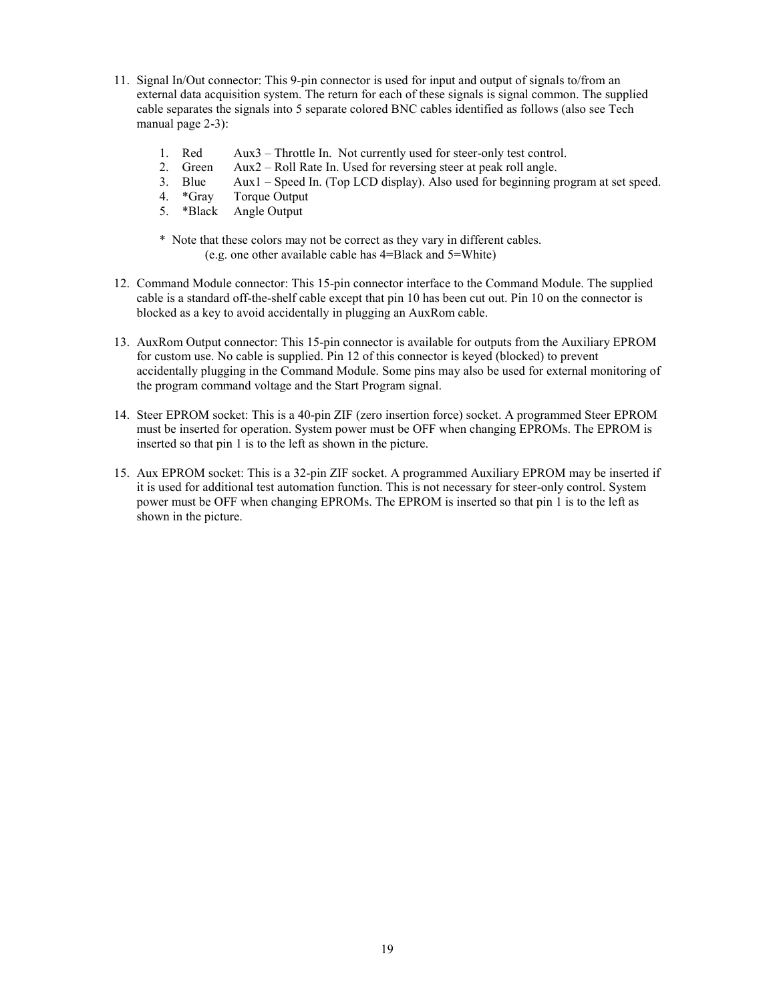- 11. Signal In/Out connector: This 9-pin connector is used for input and output of signals to/from an external data acquisition system. The return for each of these signals is signal common. The supplied cable separates the signals into 5 separate colored BNC cables identified as follows (also see Tech manual page 2-3):
	- 1. Red Aux3 Throttle In. Not currently used for steer-only test control.
	- 2. Green Aux2 Roll Rate In. Used for reversing steer at peak roll angle.
	- 3. Blue Aux1 Speed In. (Top LCD display). Also used for beginning program at set speed.
	- 4. \*Gray Torque Output
	- 5. \*Black Angle Output
	- \* Note that these colors may not be correct as they vary in different cables.
		- (e.g. one other available cable has 4=Black and 5=White)
- 12. Command Module connector: This 15-pin connector interface to the Command Module. The supplied cable is a standard off-the-shelf cable except that pin 10 has been cut out. Pin 10 on the connector is blocked as a key to avoid accidentally in plugging an AuxRom cable.
- 13. AuxRom Output connector: This 15-pin connector is available for outputs from the Auxiliary EPROM for custom use. No cable is supplied. Pin 12 of this connector is keyed (blocked) to prevent accidentally plugging in the Command Module. Some pins may also be used for external monitoring of the program command voltage and the Start Program signal.
- 14. Steer EPROM socket: This is a 40-pin ZIF (zero insertion force) socket. A programmed Steer EPROM must be inserted for operation. System power must be OFF when changing EPROMs. The EPROM is inserted so that pin 1 is to the left as shown in the picture.
- 15. Aux EPROM socket: This is a 32-pin ZIF socket. A programmed Auxiliary EPROM may be inserted if it is used for additional test automation function. This is not necessary for steer-only control. System power must be OFF when changing EPROMs. The EPROM is inserted so that pin 1 is to the left as shown in the picture.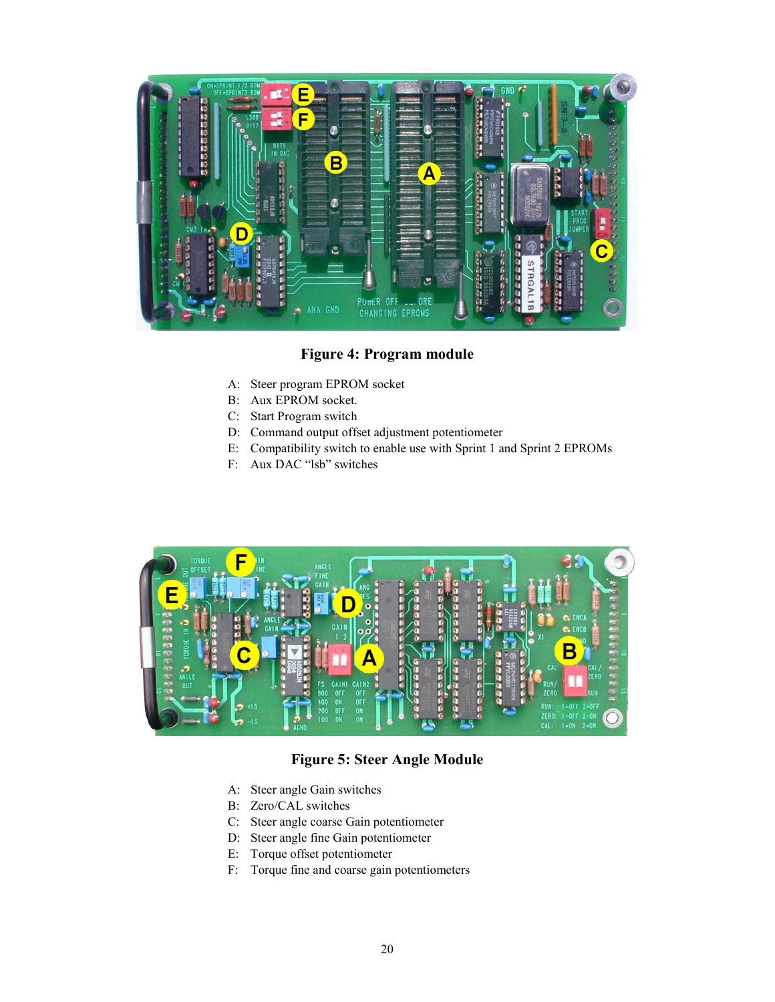

# **Figure 4: Program module**

- A: Steer program EPROM socket
- B: Aux EPROM socket.
- C: Start Program switch
- D: Command output offset adjustment potentiometer
- E: Compatibility switch to enable use with Sprint 1 and Sprint 2 EPROMs
- F: Aux DAC "lsb" switches



# **Figure 5: Steer Angle Module**

- A: Steer angle Gain switches
- B: Zero/CAL switches
- C: Steer angle coarse Gain potentiometer
- D: Steer angle fine Gain potentiometer
- E: Torque offset potentiometer
- F: Torque fine and coarse gain potentiometers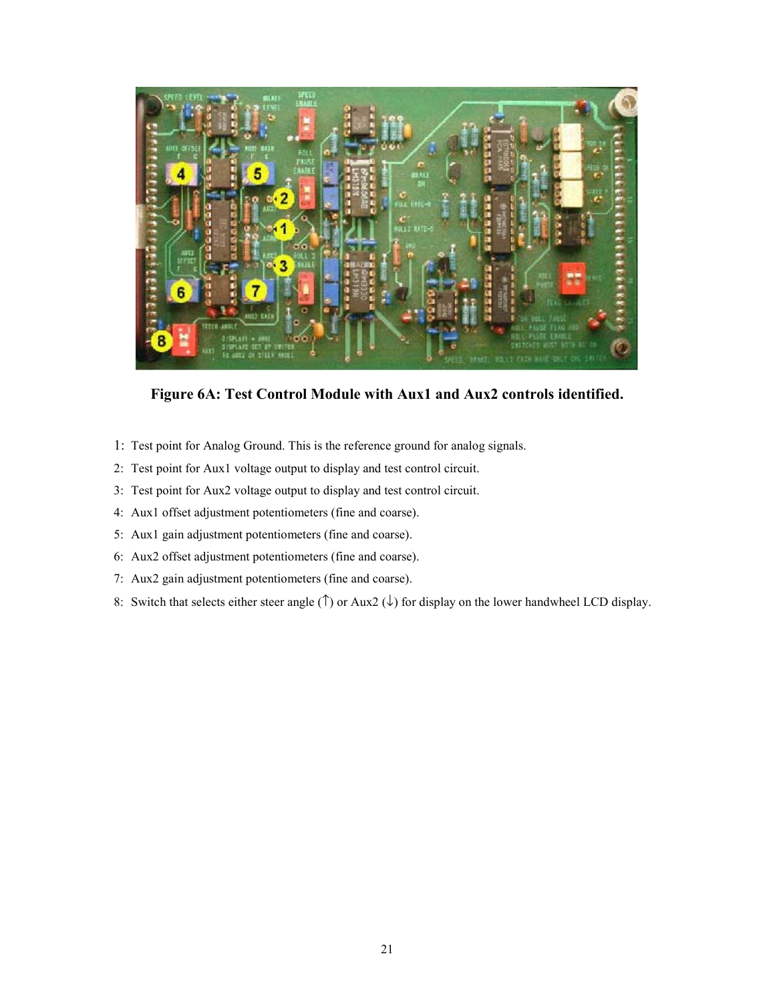

**Figure 6A: Test Control Module with Aux1 and Aux2 controls identified.**

- 1: Test point for Analog Ground. This is the reference ground for analog signals.
- 2: Test point for Aux1 voltage output to display and test control circuit.
- 3: Test point for Aux2 voltage output to display and test control circuit.
- 4: Aux1 offset adjustment potentiometers (fine and coarse).
- 5: Aux1 gain adjustment potentiometers (fine and coarse).
- 6: Aux2 offset adjustment potentiometers (fine and coarse).
- 7: Aux2 gain adjustment potentiometers (fine and coarse).
- 8: Switch that selects either steer angle ( $\uparrow$ ) or Aux2 ( $\downarrow$ ) for display on the lower handwheel LCD display.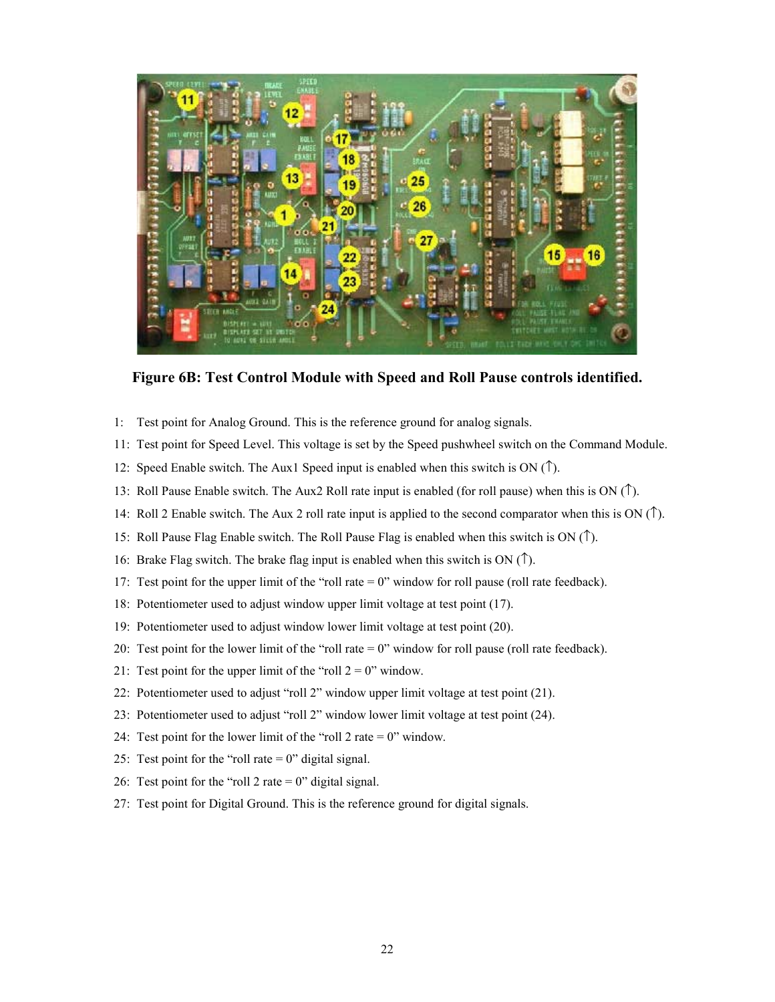

**Figure 6B: Test Control Module with Speed and Roll Pause controls identified.**

- 1: Test point for Analog Ground. This is the reference ground for analog signals.
- 11: Test point for Speed Level. This voltage is set by the Speed pushwheel switch on the Command Module.
- 12: Speed Enable switch. The Aux1 Speed input is enabled when this switch is ON  $(1)$ .
- 13: Roll Pause Enable switch. The Aux2 Roll rate input is enabled (for roll pause) when this is ON (↑).
- 14: Roll 2 Enable switch. The Aux 2 roll rate input is applied to the second comparator when this is ON (↑).
- 15: Roll Pause Flag Enable switch. The Roll Pause Flag is enabled when this switch is ON (↑).
- 16: Brake Flag switch. The brake flag input is enabled when this switch is ON  $(1)$ .
- 17: Test point for the upper limit of the "roll rate = 0" window for roll pause (roll rate feedback).
- 18: Potentiometer used to adjust window upper limit voltage at test point (17).
- 19: Potentiometer used to adjust window lower limit voltage at test point (20).
- 20: Test point for the lower limit of the "roll rate = 0" window for roll pause (roll rate feedback).
- 21: Test point for the upper limit of the "roll  $2 = 0$ " window.
- 22: Potentiometer used to adjust "roll 2" window upper limit voltage at test point (21).
- 23: Potentiometer used to adjust "roll 2" window lower limit voltage at test point (24).
- 24: Test point for the lower limit of the "roll 2 rate  $= 0$ " window.
- 25: Test point for the "roll rate  $= 0$ " digital signal.
- 26: Test point for the "roll 2 rate  $= 0$ " digital signal.
- 27: Test point for Digital Ground. This is the reference ground for digital signals.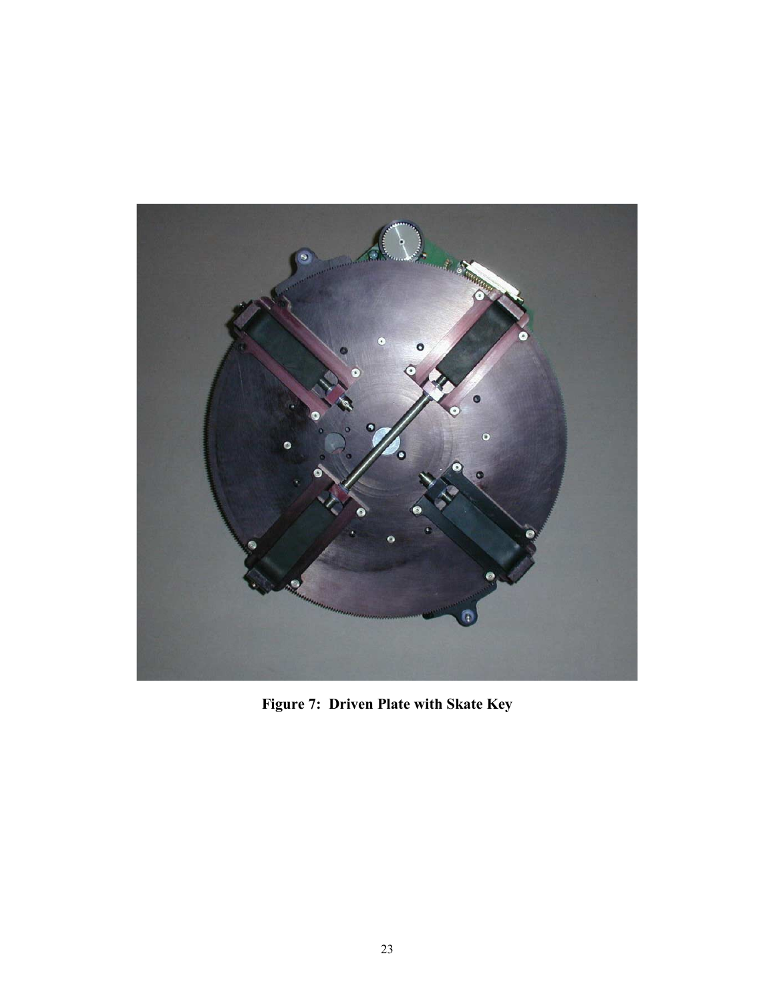

**Figure 7: Driven Plate with Skate Key**